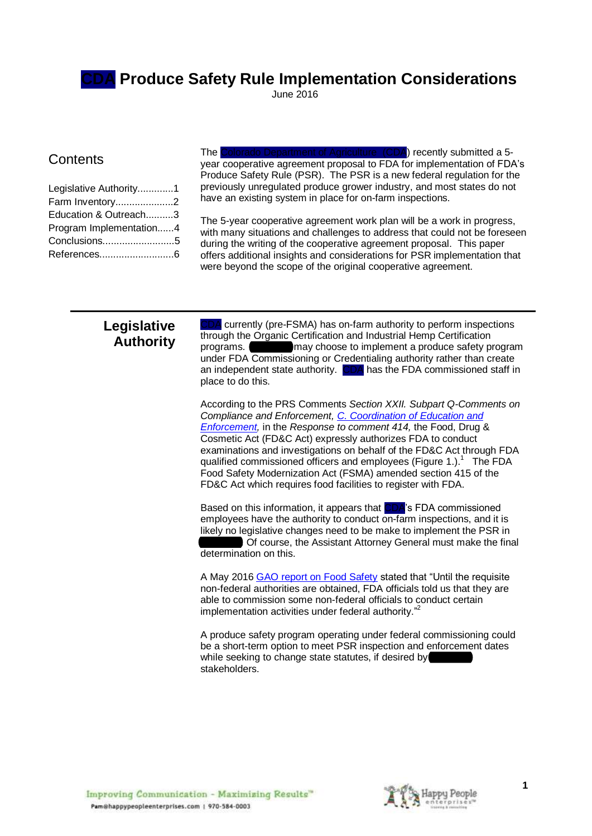**CDA Produce Safety Rule Implementation Considerations**

June 2016

## **Contents**

| Legislative Authority1  |  |
|-------------------------|--|
| Farm Inventory2         |  |
| Education & Outreach3   |  |
| Program Implementation4 |  |
| Conclusions5            |  |
|                         |  |

The Colorado Department of Agriculture (CDA) recently submitted a 5 year cooperative agreement proposal to FDA for implementation of FDA's Produce Safety Rule (PSR). The PSR is a new federal regulation for the previously unregulated produce grower industry, and most states do not have an existing system in place for on-farm inspections.

The 5-year cooperative agreement work plan will be a work in progress, with many situations and challenges to address that could not be foreseen during the writing of the cooperative agreement proposal. This paper offers additional insights and considerations for PSR implementation that were beyond the scope of the original cooperative agreement.

## **Legislative Authority**

A currently (pre-FSMA) has on-farm authority to perform inspections through the Organic Certification and Industrial Hemp Certification programs. The may choose to implement a produce safety program under FDA Commissioning or Credentialing authority rather than create an independent state authority. CDA has the FDA commissioned staff in place to do this.

According to the PRS Comments *Section XXII. Subpart Q-Comments on Compliance and Enforcement, [C. Coordination of](https://db.tt/2PUF6ECL) Education and [Enforcement,](https://db.tt/2PUF6ECL)* in the *Response to comment 414,* the Food, Drug & Cosmetic Act (FD&C Act) expressly authorizes FDA to conduct examinations and investigations on behalf of the FD&C Act through FDA qualified commissioned officers and employees (Figure 1.).<sup>1</sup> The FDA Food Safety Modernization Act (FSMA) amended section 415 of the FD&C Act which requires food facilities to register with FDA.

Based on this information, it appears that CDA's FDA commissioned employees have the authority to conduct on-farm inspections, and it is likely no legislative changes need to be make to implement the PSR in Of course, the Assistant Attorney General must make the final determination on this.

A May 2016 [GAO report on Food Safety](http://www.gao.gov/assets/680/677463.pdf#page30) stated that "Until the requisite non-federal authorities are obtained, FDA officials told us that they are able to commission some non-federal officials to conduct certain implementation activities under federal authority."<sup>2</sup>

A produce safety program operating under federal commissioning could be a short-term option to meet PSR inspection and enforcement dates while seeking to change state statutes, if desired by stakeholders.

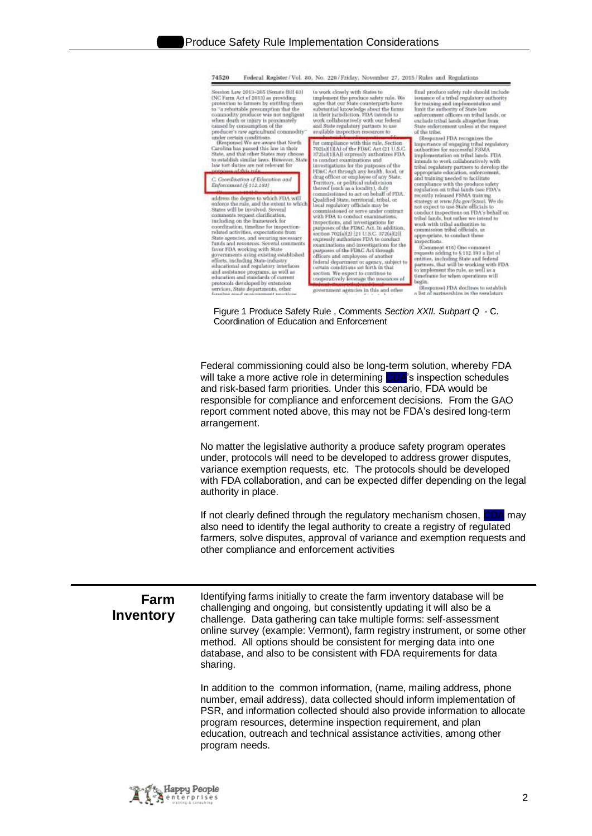j

|                          | 74520<br>Føderal Register / Vol. 80, No. 228 / Friday, November 27, 2015 / Rules and Regulations                                                                                                                                                                                                                                                                                                                                                                                                                                                                                                                                                                                                                                                                                                                                                                                                                                                                                                                                                                                                                                                                                                                                                                                                                                                                                                                                                                                                                                                                                                                                                                                                                                                                                                                                                                                                                                                                                                                                                                                                                                                                                                                                                                                                                                                                                                                                                                                                                                                                                                                                                                                                                                                                                                                                                                                                                                                                                                                                                                                                                                                                                                                                                                                                                                                                                                                                                                                                                                                                                                                                                                                                                                                                                                                                                                                                                                                                                                                                                                                                                                                                                                    |
|--------------------------|-----------------------------------------------------------------------------------------------------------------------------------------------------------------------------------------------------------------------------------------------------------------------------------------------------------------------------------------------------------------------------------------------------------------------------------------------------------------------------------------------------------------------------------------------------------------------------------------------------------------------------------------------------------------------------------------------------------------------------------------------------------------------------------------------------------------------------------------------------------------------------------------------------------------------------------------------------------------------------------------------------------------------------------------------------------------------------------------------------------------------------------------------------------------------------------------------------------------------------------------------------------------------------------------------------------------------------------------------------------------------------------------------------------------------------------------------------------------------------------------------------------------------------------------------------------------------------------------------------------------------------------------------------------------------------------------------------------------------------------------------------------------------------------------------------------------------------------------------------------------------------------------------------------------------------------------------------------------------------------------------------------------------------------------------------------------------------------------------------------------------------------------------------------------------------------------------------------------------------------------------------------------------------------------------------------------------------------------------------------------------------------------------------------------------------------------------------------------------------------------------------------------------------------------------------------------------------------------------------------------------------------------------------------------------------------------------------------------------------------------------------------------------------------------------------------------------------------------------------------------------------------------------------------------------------------------------------------------------------------------------------------------------------------------------------------------------------------------------------------------------------------------------------------------------------------------------------------------------------------------------------------------------------------------------------------------------------------------------------------------------------------------------------------------------------------------------------------------------------------------------------------------------------------------------------------------------------------------------------------------------------------------------------------------------------------------------------------------------------------------------------------------------------------------------------------------------------------------------------------------------------------------------------------------------------------------------------------------------------------------------------------------------------------------------------------------------------------------------------------------------------------------------------------------------------------------------------|
|                          | final produce safety rule should include<br>Session Law 2011-265 (Senate Bill 63)<br>to work closely with States to<br>(NC Farm Act of 2013) as providing<br>implement the produce safety rule. We<br>issuance of a tribel regulatory authority<br>protection to farmers by entitling them<br>agree that our State counterparts have<br>for training and implementation and<br>substantial knowledge about the farms<br>to "a rebuttable presumption that the<br>commodity producer was not negligent<br>limit the authority of State law<br>in their jurisdiction. FDA intends to<br>enforcoment officers on tribal lands, or<br>when death or injury is proximately<br>work collaboratively with our federal<br>exclude tribal lands altogether from<br>caused by consumption of the<br>and State regulatory partners to use.<br>State enforcement unless at the request<br>producer's raw agricultural commodity"<br>available inspection resources to<br>of the tribe.<br>under certain conditions.<br>(Responsed FDA recognizes the<br>(Response) We are aware that North<br>for compliance with this rule. Section<br>importance of ungaging tribal regulatory<br>Carolina has passed this law in their<br>7021s)(1HA) of the FD&C Act (21 U.S.C.<br>authorities for successful FSMA<br>State, and that other States may choose<br>372(a)(1)[A]] expressly authorizes FDA<br>implementation on tribal lands. FDA<br>to establish similar laws. However, State<br>to conduct examinations and<br>intends to week collaboratively with<br>law tort-duties are not relevant for<br>investigations for the purposes of the<br>tribal regulatory partners to develop the<br><b>Carl Chile and a</b><br>FD&C Act through any health, food, or<br>appropriate education, enforcement,<br>drug officer or employee of any State.<br>and training needed to facilitate<br>C. Goordination of Education and<br>Territory, or political subdivision<br>compliance with the produce safety<br>regulation on tribal lands (see FDA's<br>Enforcement [6.112.193]<br>thereof (such as a locality), duly<br>commissioned to act on behalf of FDA.<br>recently released FSMA training<br>address the degree to which FDA will<br>Qualified State, territorial, tribal, or<br>strategy at www.fda.gov/fraud. We do.<br>enforce the rule, and the extent to which.<br>local regulatory officials may be<br>not expect to use State officials to<br>States will be involved. Several<br>commissioned or serve under contract<br>conduct inspections on FDA's behalf on<br>comments request clarification,<br>with FDA to conduct examinations,<br>tribal lunds, but rather we intend to<br>including on the framework for<br>inspections, and investigations for<br>work with tribal authorities to<br>coordination, timeline for inspection-<br>purposes of the FD&C. Act. In addition,<br>cummission tribal officials, as<br>related activities, expectations from<br>section 702(a)[2) [21 U.S.C. 372(a)(2)]<br>appropriate, to conduct these<br>State agencies, and securing necessary<br>funds and resources. Several comments<br>supressly authorizes FDA to conduct<br>inspections.<br>examinations and investigations for the<br>(Commont 416) One comment<br>favor FDA working with State<br>purposes of the FD&C Act through<br>requests adding to §112.193 a list of<br>governments using existing established<br>officers and employees of another<br>entities, including State and federal<br>efforts, including State-industry<br>federal department or agency, subject to<br>partnots, that will be working with FDA<br>educational and regulatory interfaces<br>ortain conditions set forth in that<br>to implement the rule, as well as a<br>and assistance programs, as well as<br>section. We expect to continue to<br>timeframe for when operations will<br>education and standards of current<br>cooperatively leverage the issources of<br>begin<br>protocols diredoped by extension<br>(Response) FDA doclines to ostablish<br>sercices, State departments, other<br>families and management sensite<br>government agencies in this and other<br>a list of nartureships in the regulatory. |
|                          | Figure 1 Produce Safety Rule, Comments Section XXII. Subpart Q - C.<br>Coordination of Education and Enforcement                                                                                                                                                                                                                                                                                                                                                                                                                                                                                                                                                                                                                                                                                                                                                                                                                                                                                                                                                                                                                                                                                                                                                                                                                                                                                                                                                                                                                                                                                                                                                                                                                                                                                                                                                                                                                                                                                                                                                                                                                                                                                                                                                                                                                                                                                                                                                                                                                                                                                                                                                                                                                                                                                                                                                                                                                                                                                                                                                                                                                                                                                                                                                                                                                                                                                                                                                                                                                                                                                                                                                                                                                                                                                                                                                                                                                                                                                                                                                                                                                                                                                    |
|                          | Federal commissioning could also be long-term solution, whereby FDA<br>will take a more active role in determining CDA's inspection schedules<br>and risk-based farm priorities. Under this scenario, FDA would be<br>responsible for compliance and enforcement decisions. From the GAO<br>report comment noted above, this may not be FDA's desired long-term<br>arrangement.                                                                                                                                                                                                                                                                                                                                                                                                                                                                                                                                                                                                                                                                                                                                                                                                                                                                                                                                                                                                                                                                                                                                                                                                                                                                                                                                                                                                                                                                                                                                                                                                                                                                                                                                                                                                                                                                                                                                                                                                                                                                                                                                                                                                                                                                                                                                                                                                                                                                                                                                                                                                                                                                                                                                                                                                                                                                                                                                                                                                                                                                                                                                                                                                                                                                                                                                                                                                                                                                                                                                                                                                                                                                                                                                                                                                                     |
|                          | No matter the legislative authority a produce safety program operates<br>under, protocols will need to be developed to address grower disputes,<br>variance exemption requests, etc. The protocols should be developed<br>with FDA collaboration, and can be expected differ depending on the legal<br>authority in place.                                                                                                                                                                                                                                                                                                                                                                                                                                                                                                                                                                                                                                                                                                                                                                                                                                                                                                                                                                                                                                                                                                                                                                                                                                                                                                                                                                                                                                                                                                                                                                                                                                                                                                                                                                                                                                                                                                                                                                                                                                                                                                                                                                                                                                                                                                                                                                                                                                                                                                                                                                                                                                                                                                                                                                                                                                                                                                                                                                                                                                                                                                                                                                                                                                                                                                                                                                                                                                                                                                                                                                                                                                                                                                                                                                                                                                                                          |
|                          | If not clearly defined through the regulatory mechanism chosen, CDA<br>may<br>also need to identify the legal authority to create a registry of regulated<br>farmers, solve disputes, approval of variance and exemption requests and<br>other compliance and enforcement activities                                                                                                                                                                                                                                                                                                                                                                                                                                                                                                                                                                                                                                                                                                                                                                                                                                                                                                                                                                                                                                                                                                                                                                                                                                                                                                                                                                                                                                                                                                                                                                                                                                                                                                                                                                                                                                                                                                                                                                                                                                                                                                                                                                                                                                                                                                                                                                                                                                                                                                                                                                                                                                                                                                                                                                                                                                                                                                                                                                                                                                                                                                                                                                                                                                                                                                                                                                                                                                                                                                                                                                                                                                                                                                                                                                                                                                                                                                                |
| Farm<br><b>Inventory</b> | Identifying farms initially to create the farm inventory database will be<br>challenging and ongoing, but consistently updating it will also be a<br>challenge. Data gathering can take multiple forms: self-assessment<br>online survey (example: Vermont), farm registry instrument, or some other<br>method. All options should be consistent for merging data into one<br>database, and also to be consistent with FDA requirements for data<br>sharing.                                                                                                                                                                                                                                                                                                                                                                                                                                                                                                                                                                                                                                                                                                                                                                                                                                                                                                                                                                                                                                                                                                                                                                                                                                                                                                                                                                                                                                                                                                                                                                                                                                                                                                                                                                                                                                                                                                                                                                                                                                                                                                                                                                                                                                                                                                                                                                                                                                                                                                                                                                                                                                                                                                                                                                                                                                                                                                                                                                                                                                                                                                                                                                                                                                                                                                                                                                                                                                                                                                                                                                                                                                                                                                                                        |
|                          | In addition to the common information, (name, mailing address, phone<br>number, email address), data collected should inform implementation of<br>PSR, and information collected should also provide information to allocate<br>program resources, determine inspection requirement, and plan<br>education, outreach and technical assistance activities, among other<br>program needs.                                                                                                                                                                                                                                                                                                                                                                                                                                                                                                                                                                                                                                                                                                                                                                                                                                                                                                                                                                                                                                                                                                                                                                                                                                                                                                                                                                                                                                                                                                                                                                                                                                                                                                                                                                                                                                                                                                                                                                                                                                                                                                                                                                                                                                                                                                                                                                                                                                                                                                                                                                                                                                                                                                                                                                                                                                                                                                                                                                                                                                                                                                                                                                                                                                                                                                                                                                                                                                                                                                                                                                                                                                                                                                                                                                                                             |